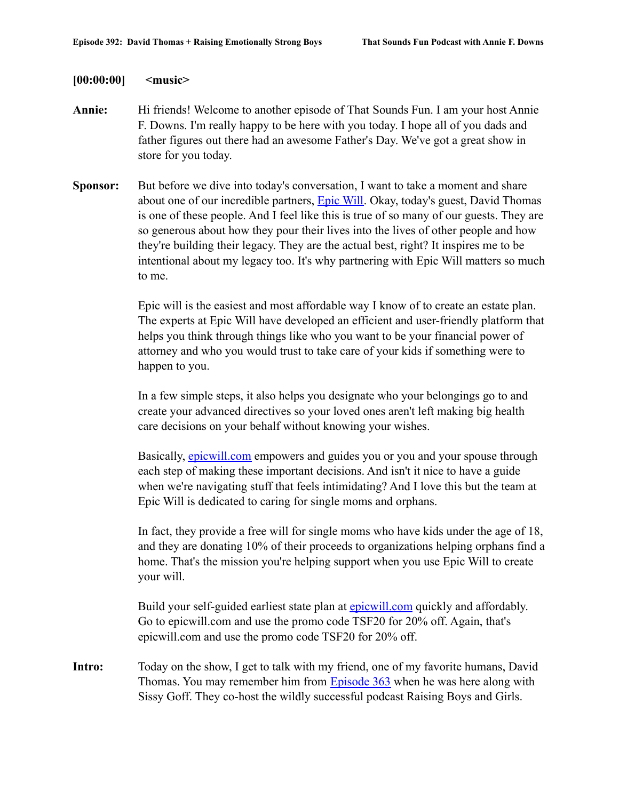## **[00:00:00] <music>**

- **Annie:** Hi friends! Welcome to another episode of That Sounds Fun. I am your host Annie F. Downs. I'm really happy to be here with you today. I hope all of you dads and father figures out there had an awesome Father's Day. We've got a great show in store for you today.
- **Sponsor:** But before we dive into today's conversation, I want to take a moment and share about one of our incredible partners, **Epic Will**. Okay, today's guest, David Thomas is one of these people. And I feel like this is true of so many of our guests. They are so generous about how they pour their lives into the lives of other people and how they're building their legacy. They are the actual best, right? It inspires me to be intentional about my legacy too. It's why partnering with Epic Will matters so much to me.

Epic will is the easiest and most affordable way I know of to create an estate plan. The experts at Epic Will have developed an efficient and user-friendly platform that helps you think through things like who you want to be your financial power of attorney and who you would trust to take care of your kids if something were to happen to you.

In a few simple steps, it also helps you designate who your belongings go to and create your advanced directives so your loved ones aren't left making big health care decisions on your behalf without knowing your wishes.

Basically, **[epicwill.com](http://www.epicwill.com)** empowers and guides you or you and your spouse through each step of making these important decisions. And isn't it nice to have a guide when we're navigating stuff that feels intimidating? And I love this but the team at Epic Will is dedicated to caring for single moms and orphans.

In fact, they provide a free will for single moms who have kids under the age of 18, and they are donating 10% of their proceeds to organizations helping orphans find a home. That's the mission you're helping support when you use Epic Will to create your will.

Build your self-guided earliest state plan at **[epicwill.com](http://www.epicwill.com)** quickly and affordably. Go to epicwill.com and use the promo code TSF20 for 20% off. Again, that's epicwill.com and use the promo code TSF20 for 20% off.

**Intro:** Today on the show, I get to talk with my friend, one of my favorite humans, David Thomas. You may remember him from **[Episode 363](https://podcasts.apple.com/us/podcast/episode-363-sissy-goff-and-david-thomas-from-raising/id944925529?i=1000550287373)** when he was here along with Sissy Goff. They co-host the wildly successful podcast Raising Boys and Girls.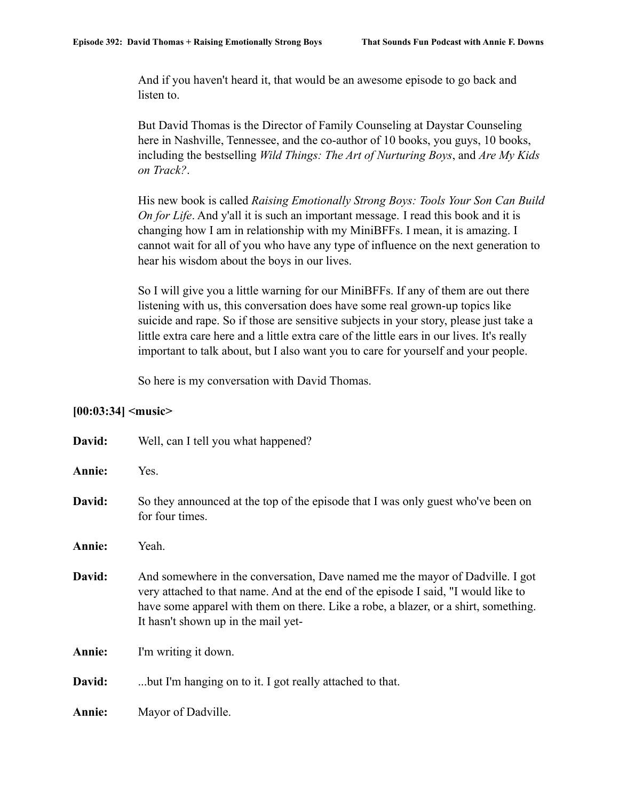And if you haven't heard it, that would be an awesome episode to go back and listen to.

But David Thomas is the Director of Family Counseling at Daystar Counseling here in Nashville, Tennessee, and the co-author of 10 books, you guys, 10 books, including the bestselling *Wild Things: The Art of Nurturing Boys*, and *Are My Kids on Track?*.

His new book is called *Raising Emotionally Strong Boys: Tools Your Son Can Build On for Life*. And y'all it is such an important message. I read this book and it is changing how I am in relationship with my MiniBFFs. I mean, it is amazing. I cannot wait for all of you who have any type of influence on the next generation to hear his wisdom about the boys in our lives.

So I will give you a little warning for our MiniBFFs. If any of them are out there listening with us, this conversation does have some real grown-up topics like suicide and rape. So if those are sensitive subjects in your story, please just take a little extra care here and a little extra care of the little ears in our lives. It's really important to talk about, but I also want you to care for yourself and your people.

So here is my conversation with David Thomas.

## **[00:03:34] <music>**

| David: | Well, can I tell you what happened?                                                                                                                                                                                                                                                               |
|--------|---------------------------------------------------------------------------------------------------------------------------------------------------------------------------------------------------------------------------------------------------------------------------------------------------|
| Annie: | Yes.                                                                                                                                                                                                                                                                                              |
| David: | So they announced at the top of the episode that I was only guest who've been on<br>for four times.                                                                                                                                                                                               |
| Annie: | Yeah.                                                                                                                                                                                                                                                                                             |
| David: | And somewhere in the conversation, Dave named me the mayor of Dadville. I got<br>very attached to that name. And at the end of the episode I said, "I would like to<br>have some apparel with them on there. Like a robe, a blazer, or a shirt, something.<br>It hasn't shown up in the mail yet- |
| Annie: | I'm writing it down.                                                                                                                                                                                                                                                                              |
| David: | but I'm hanging on to it. I got really attached to that.                                                                                                                                                                                                                                          |
| Annie: | Mayor of Dadville.                                                                                                                                                                                                                                                                                |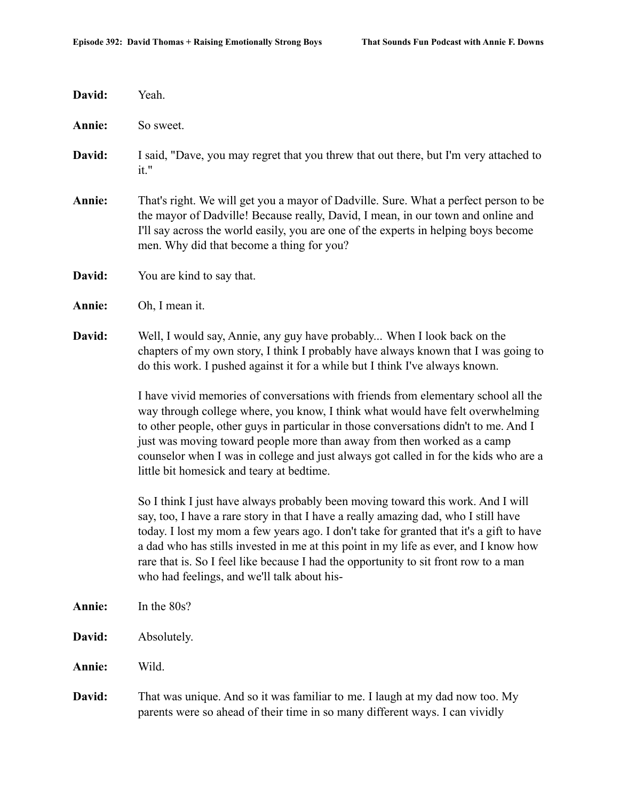| David: | Yeah.                                                                                                                                                                                                                                                                                                                                                                                                                                                                                            |
|--------|--------------------------------------------------------------------------------------------------------------------------------------------------------------------------------------------------------------------------------------------------------------------------------------------------------------------------------------------------------------------------------------------------------------------------------------------------------------------------------------------------|
| Annie: | So sweet.                                                                                                                                                                                                                                                                                                                                                                                                                                                                                        |
| David: | I said, "Dave, you may regret that you threw that out there, but I'm very attached to<br>it."                                                                                                                                                                                                                                                                                                                                                                                                    |
| Annie: | That's right. We will get you a mayor of Dadville. Sure. What a perfect person to be<br>the mayor of Dadville! Because really, David, I mean, in our town and online and<br>I'll say across the world easily, you are one of the experts in helping boys become<br>men. Why did that become a thing for you?                                                                                                                                                                                     |
| David: | You are kind to say that.                                                                                                                                                                                                                                                                                                                                                                                                                                                                        |
| Annie: | Oh, I mean it.                                                                                                                                                                                                                                                                                                                                                                                                                                                                                   |
| David: | Well, I would say, Annie, any guy have probably When I look back on the<br>chapters of my own story, I think I probably have always known that I was going to<br>do this work. I pushed against it for a while but I think I've always known.                                                                                                                                                                                                                                                    |
|        | I have vivid memories of conversations with friends from elementary school all the<br>way through college where, you know, I think what would have felt overwhelming<br>to other people, other guys in particular in those conversations didn't to me. And I<br>just was moving toward people more than away from then worked as a camp<br>counselor when I was in college and just always got called in for the kids who are a<br>little bit homesick and teary at bedtime.                     |
|        | So I think I just have always probably been moving toward this work. And I will<br>say, too, I have a rare story in that I have a really amazing dad, who I still have<br>today. I lost my mom a few years ago. I don't take for granted that it's a gift to have<br>a dad who has stills invested in me at this point in my life as ever, and I know how<br>rare that is. So I feel like because I had the opportunity to sit front row to a man<br>who had feelings, and we'll talk about his- |
| Annie: | In the 80s?                                                                                                                                                                                                                                                                                                                                                                                                                                                                                      |
| David: | Absolutely.                                                                                                                                                                                                                                                                                                                                                                                                                                                                                      |
| Annie: | Wild.                                                                                                                                                                                                                                                                                                                                                                                                                                                                                            |
| David: | That was unique. And so it was familiar to me. I laugh at my dad now too. My<br>parents were so ahead of their time in so many different ways. I can vividly                                                                                                                                                                                                                                                                                                                                     |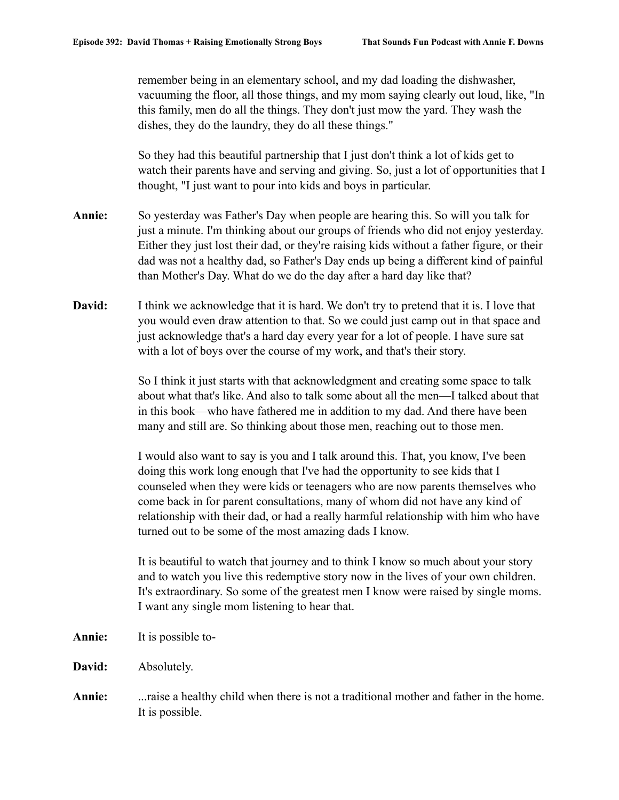remember being in an elementary school, and my dad loading the dishwasher, vacuuming the floor, all those things, and my mom saying clearly out loud, like, "In this family, men do all the things. They don't just mow the yard. They wash the dishes, they do the laundry, they do all these things."

So they had this beautiful partnership that I just don't think a lot of kids get to watch their parents have and serving and giving. So, just a lot of opportunities that I thought, "I just want to pour into kids and boys in particular.

- **Annie:** So yesterday was Father's Day when people are hearing this. So will you talk for just a minute. I'm thinking about our groups of friends who did not enjoy yesterday. Either they just lost their dad, or they're raising kids without a father figure, or their dad was not a healthy dad, so Father's Day ends up being a different kind of painful than Mother's Day. What do we do the day after a hard day like that?
- **David:** I think we acknowledge that it is hard. We don't try to pretend that it is. I love that you would even draw attention to that. So we could just camp out in that space and just acknowledge that's a hard day every year for a lot of people. I have sure sat with a lot of boys over the course of my work, and that's their story.

So I think it just starts with that acknowledgment and creating some space to talk about what that's like. And also to talk some about all the men—I talked about that in this book—who have fathered me in addition to my dad. And there have been many and still are. So thinking about those men, reaching out to those men.

I would also want to say is you and I talk around this. That, you know, I've been doing this work long enough that I've had the opportunity to see kids that I counseled when they were kids or teenagers who are now parents themselves who come back in for parent consultations, many of whom did not have any kind of relationship with their dad, or had a really harmful relationship with him who have turned out to be some of the most amazing dads I know.

It is beautiful to watch that journey and to think I know so much about your story and to watch you live this redemptive story now in the lives of your own children. It's extraordinary. So some of the greatest men I know were raised by single moms. I want any single mom listening to hear that.

- **Annie:** It is possible to-
- **David:** Absolutely.
- **Annie:** ...raise a healthy child when there is not a traditional mother and father in the home. It is possible.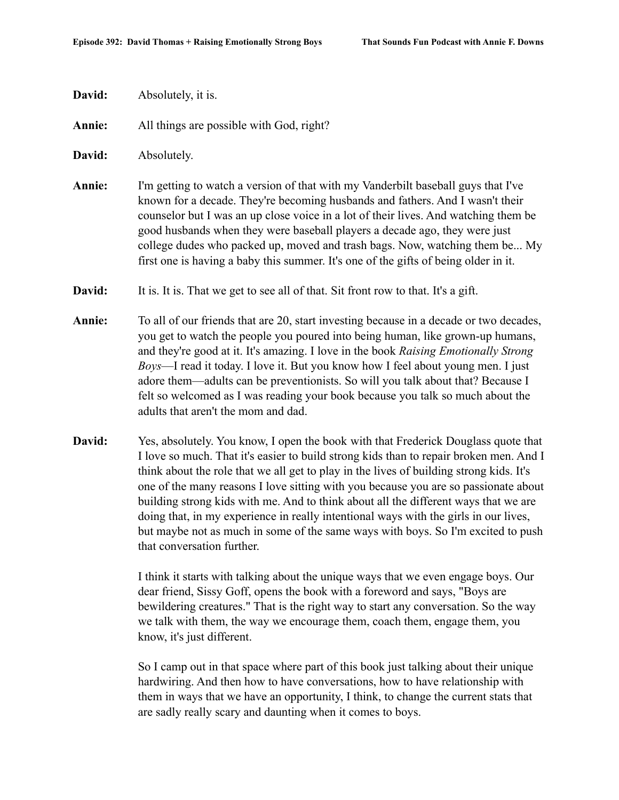- **David:** Absolutely, it is.
- **Annie:** All things are possible with God, right?
- **David:** Absolutely.
- **Annie:** I'm getting to watch a version of that with my Vanderbilt baseball guys that I've known for a decade. They're becoming husbands and fathers. And I wasn't their counselor but I was an up close voice in a lot of their lives. And watching them be good husbands when they were baseball players a decade ago, they were just college dudes who packed up, moved and trash bags. Now, watching them be... My first one is having a baby this summer. It's one of the gifts of being older in it.
- **David:** It is. It is. That we get to see all of that. Sit front row to that. It's a gift.
- **Annie:** To all of our friends that are 20, start investing because in a decade or two decades, you get to watch the people you poured into being human, like grown-up humans, and they're good at it. It's amazing. I love in the book *Raising Emotionally Strong Boys*—I read it today. I love it. But you know how I feel about young men. I just adore them—adults can be preventionists. So will you talk about that? Because I felt so welcomed as I was reading your book because you talk so much about the adults that aren't the mom and dad.
- **David:** Yes, absolutely. You know, I open the book with that Frederick Douglass quote that I love so much. That it's easier to build strong kids than to repair broken men. And I think about the role that we all get to play in the lives of building strong kids. It's one of the many reasons I love sitting with you because you are so passionate about building strong kids with me. And to think about all the different ways that we are doing that, in my experience in really intentional ways with the girls in our lives, but maybe not as much in some of the same ways with boys. So I'm excited to push that conversation further.

I think it starts with talking about the unique ways that we even engage boys. Our dear friend, Sissy Goff, opens the book with a foreword and says, "Boys are bewildering creatures." That is the right way to start any conversation. So the way we talk with them, the way we encourage them, coach them, engage them, you know, it's just different.

So I camp out in that space where part of this book just talking about their unique hardwiring. And then how to have conversations, how to have relationship with them in ways that we have an opportunity, I think, to change the current stats that are sadly really scary and daunting when it comes to boys.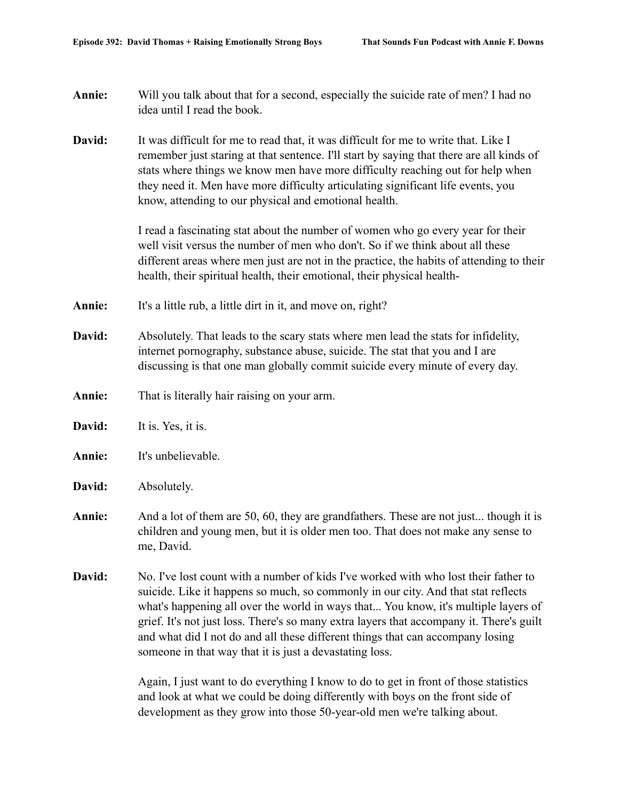- **Annie:** Will you talk about that for a second, especially the suicide rate of men? I had no idea until I read the book.
- **David:** It was difficult for me to read that, it was difficult for me to write that. Like I remember just staring at that sentence. I'll start by saying that there are all kinds of stats where things we know men have more difficulty reaching out for help when they need it. Men have more difficulty articulating significant life events, you know, attending to our physical and emotional health.

I read a fascinating stat about the number of women who go every year for their well visit versus the number of men who don't. So if we think about all these different areas where men just are not in the practice, the habits of attending to their health, their spiritual health, their emotional, their physical health-

- Annie: It's a little rub, a little dirt in it, and move on, right?
- **David:** Absolutely. That leads to the scary stats where men lead the stats for infidelity, internet pornography, substance abuse, suicide. The stat that you and I are discussing is that one man globally commit suicide every minute of every day.
- **Annie:** That is literally hair raising on your arm.
- **David:** It is. Yes, it is.
- **Annie:** It's unbelievable.
- **David:** Absolutely.
- **Annie:** And a lot of them are 50, 60, they are grandfathers. These are not just... though it is children and young men, but it is older men too. That does not make any sense to me, David.
- **David:** No. I've lost count with a number of kids I've worked with who lost their father to suicide. Like it happens so much, so commonly in our city. And that stat reflects what's happening all over the world in ways that... You know, it's multiple layers of grief. It's not just loss. There's so many extra layers that accompany it. There's guilt and what did I not do and all these different things that can accompany losing someone in that way that it is just a devastating loss.

Again, I just want to do everything I know to do to get in front of those statistics and look at what we could be doing differently with boys on the front side of development as they grow into those 50-year-old men we're talking about.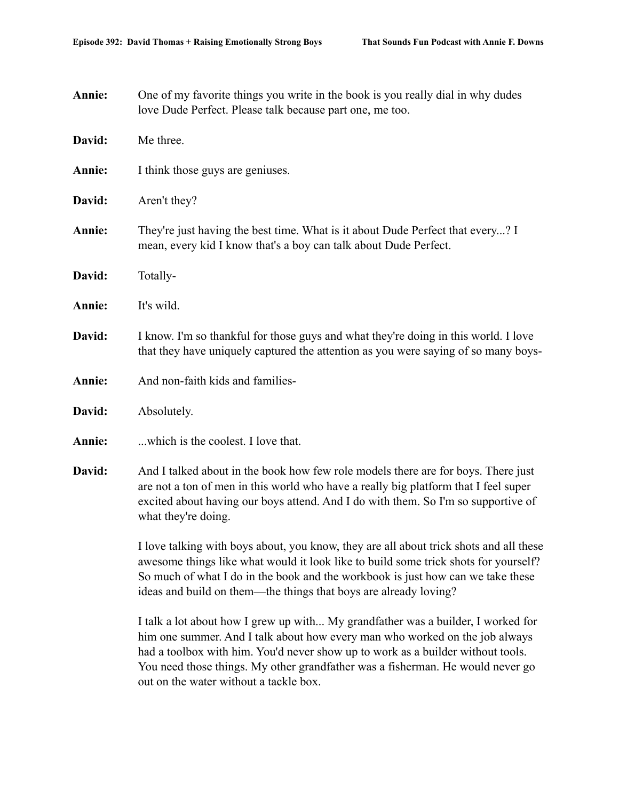| Annie: | One of my favorite things you write in the book is you really dial in why dudes<br>love Dude Perfect. Please talk because part one, me too.                                                                                                                                                                                          |
|--------|--------------------------------------------------------------------------------------------------------------------------------------------------------------------------------------------------------------------------------------------------------------------------------------------------------------------------------------|
| David: | Me three.                                                                                                                                                                                                                                                                                                                            |
| Annie: | I think those guys are geniuses.                                                                                                                                                                                                                                                                                                     |
| David: | Aren't they?                                                                                                                                                                                                                                                                                                                         |
| Annie: | They're just having the best time. What is it about Dude Perfect that every? I<br>mean, every kid I know that's a boy can talk about Dude Perfect.                                                                                                                                                                                   |
| David: | Totally-                                                                                                                                                                                                                                                                                                                             |
| Annie: | It's wild.                                                                                                                                                                                                                                                                                                                           |
| David: | I know. I'm so thankful for those guys and what they're doing in this world. I love<br>that they have uniquely captured the attention as you were saying of so many boys-                                                                                                                                                            |
| Annie: | And non-faith kids and families-                                                                                                                                                                                                                                                                                                     |
| David: | Absolutely.                                                                                                                                                                                                                                                                                                                          |
| Annie: | which is the coolest. I love that.                                                                                                                                                                                                                                                                                                   |
| David: | And I talked about in the book how few role models there are for boys. There just<br>are not a ton of men in this world who have a really big platform that I feel super<br>excited about having our boys attend. And I do with them. So I'm so supportive of<br>what they're doing.                                                 |
|        | I love talking with boys about, you know, they are all about trick shots and all these<br>awesome things like what would it look like to build some trick shots for yourself?<br>So much of what I do in the book and the workbook is just how can we take these<br>ideas and build on them—the things that boys are already loving? |
|        | I talk a lot about how I grew up with My grandfather was a builder, I worked for<br>him one summer. And I talk about how every man who worked on the job always                                                                                                                                                                      |

had a toolbox with him. You'd never show up to work as a builder without tools. You need those things. My other grandfather was a fisherman. He would never go out on the water without a tackle box.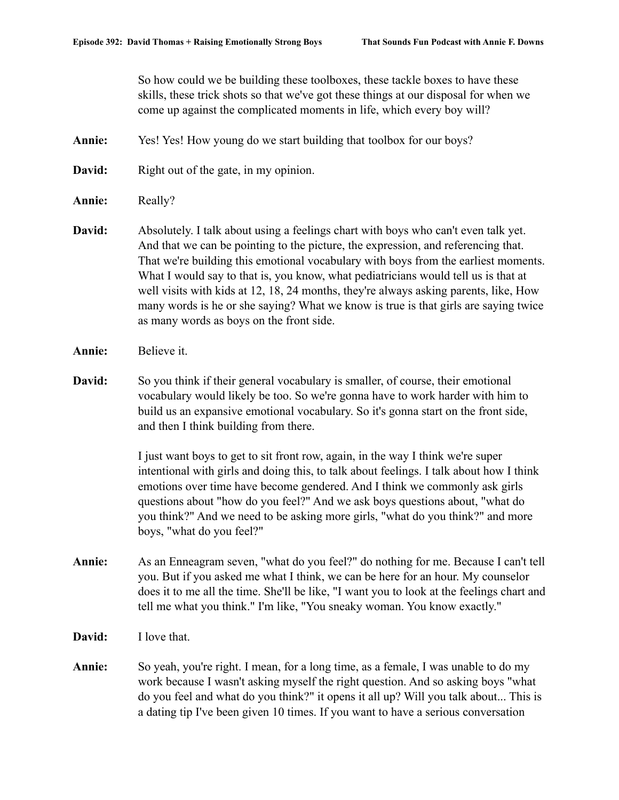So how could we be building these toolboxes, these tackle boxes to have these skills, these trick shots so that we've got these things at our disposal for when we come up against the complicated moments in life, which every boy will?

- **Annie:** Yes! Yes! How young do we start building that toolbox for our boys?
- **David:** Right out of the gate, in my opinion.
- **Annie:** Really?
- **David:** Absolutely. I talk about using a feelings chart with boys who can't even talk yet. And that we can be pointing to the picture, the expression, and referencing that. That we're building this emotional vocabulary with boys from the earliest moments. What I would say to that is, you know, what pediatricians would tell us is that at well visits with kids at 12, 18, 24 months, they're always asking parents, like, How many words is he or she saying? What we know is true is that girls are saying twice as many words as boys on the front side.
- **Annie:** Believe it.
- **David:** So you think if their general vocabulary is smaller, of course, their emotional vocabulary would likely be too. So we're gonna have to work harder with him to build us an expansive emotional vocabulary. So it's gonna start on the front side, and then I think building from there.

I just want boys to get to sit front row, again, in the way I think we're super intentional with girls and doing this, to talk about feelings. I talk about how I think emotions over time have become gendered. And I think we commonly ask girls questions about "how do you feel?" And we ask boys questions about, "what do you think?" And we need to be asking more girls, "what do you think?" and more boys, "what do you feel?"

- **Annie:** As an Enneagram seven, "what do you feel?" do nothing for me. Because I can't tell you. But if you asked me what I think, we can be here for an hour. My counselor does it to me all the time. She'll be like, "I want you to look at the feelings chart and tell me what you think." I'm like, "You sneaky woman. You know exactly."
- **David:** I love that.
- Annie: So yeah, you're right. I mean, for a long time, as a female, I was unable to do my work because I wasn't asking myself the right question. And so asking boys "what do you feel and what do you think?" it opens it all up? Will you talk about... This is a dating tip I've been given 10 times. If you want to have a serious conversation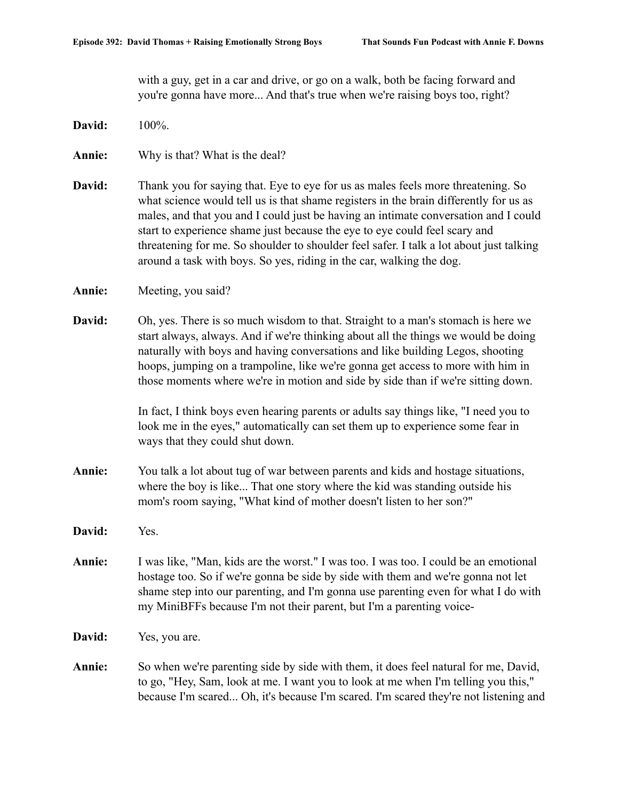with a guy, get in a car and drive, or go on a walk, both be facing forward and you're gonna have more... And that's true when we're raising boys too, right?

- **David:** 100%.
- **Annie:** Why is that? What is the deal?
- **David:** Thank you for saying that. Eye to eye for us as males feels more threatening. So what science would tell us is that shame registers in the brain differently for us as males, and that you and I could just be having an intimate conversation and I could start to experience shame just because the eye to eye could feel scary and threatening for me. So shoulder to shoulder feel safer. I talk a lot about just talking around a task with boys. So yes, riding in the car, walking the dog.
- **Annie:** Meeting, you said?
- **David:** Oh, yes. There is so much wisdom to that. Straight to a man's stomach is here we start always, always. And if we're thinking about all the things we would be doing naturally with boys and having conversations and like building Legos, shooting hoops, jumping on a trampoline, like we're gonna get access to more with him in those moments where we're in motion and side by side than if we're sitting down.

In fact, I think boys even hearing parents or adults say things like, "I need you to look me in the eyes," automatically can set them up to experience some fear in ways that they could shut down.

- **Annie:** You talk a lot about tug of war between parents and kids and hostage situations, where the boy is like... That one story where the kid was standing outside his mom's room saying, "What kind of mother doesn't listen to her son?"
- **David:** Yes.
- **Annie:** I was like, "Man, kids are the worst." I was too. I was too. I could be an emotional hostage too. So if we're gonna be side by side with them and we're gonna not let shame step into our parenting, and I'm gonna use parenting even for what I do with my MiniBFFs because I'm not their parent, but I'm a parenting voice-
- **David:** Yes, you are.
- **Annie:** So when we're parenting side by side with them, it does feel natural for me, David, to go, "Hey, Sam, look at me. I want you to look at me when I'm telling you this," because I'm scared... Oh, it's because I'm scared. I'm scared they're not listening and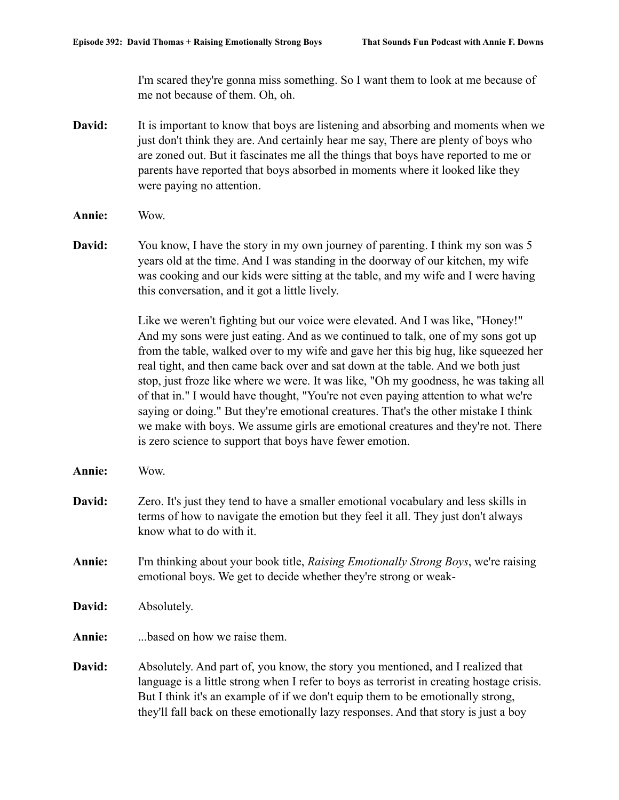I'm scared they're gonna miss something. So I want them to look at me because of me not because of them. Oh, oh.

- **David:** It is important to know that boys are listening and absorbing and moments when we just don't think they are. And certainly hear me say, There are plenty of boys who are zoned out. But it fascinates me all the things that boys have reported to me or parents have reported that boys absorbed in moments where it looked like they were paying no attention.
- **Annie:** Wow.
- **David:** You know, I have the story in my own journey of parenting. I think my son was 5 years old at the time. And I was standing in the doorway of our kitchen, my wife was cooking and our kids were sitting at the table, and my wife and I were having this conversation, and it got a little lively.

Like we weren't fighting but our voice were elevated. And I was like, "Honey!" And my sons were just eating. And as we continued to talk, one of my sons got up from the table, walked over to my wife and gave her this big hug, like squeezed her real tight, and then came back over and sat down at the table. And we both just stop, just froze like where we were. It was like, "Oh my goodness, he was taking all of that in." I would have thought, "You're not even paying attention to what we're saying or doing." But they're emotional creatures. That's the other mistake I think we make with boys. We assume girls are emotional creatures and they're not. There is zero science to support that boys have fewer emotion.

- **Annie:** Wow.
- **David:** Zero. It's just they tend to have a smaller emotional vocabulary and less skills in terms of how to navigate the emotion but they feel it all. They just don't always know what to do with it.
- **Annie:** I'm thinking about your book title, *Raising Emotionally Strong Boys*, we're raising emotional boys. We get to decide whether they're strong or weak-
- **David:** Absolutely.
- **Annie:** ...based on how we raise them.
- **David:** Absolutely. And part of, you know, the story you mentioned, and I realized that language is a little strong when I refer to boys as terrorist in creating hostage crisis. But I think it's an example of if we don't equip them to be emotionally strong, they'll fall back on these emotionally lazy responses. And that story is just a boy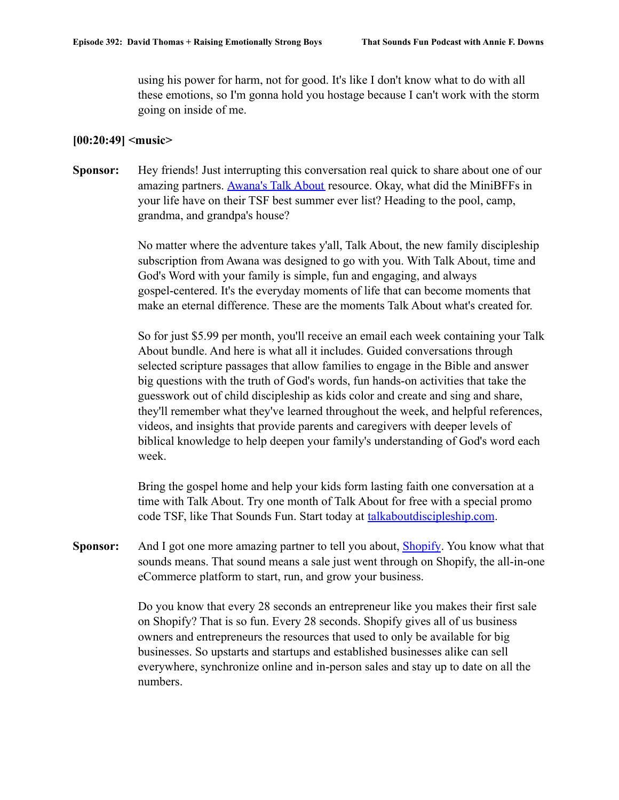using his power for harm, not for good. It's like I don't know what to do with all these emotions, so I'm gonna hold you hostage because I can't work with the storm going on inside of me.

## **[00:20:49] <music>**

**Sponsor:** Hey friends! Just interrupting this conversation real quick to share about one of our amazing partners. [Awana's Talk About](http://www.talkaboutdiscipleship.com) resource. Okay, what did the MiniBFFs in your life have on their TSF best summer ever list? Heading to the pool, camp, grandma, and grandpa's house?

> No matter where the adventure takes y'all, Talk About, the new family discipleship subscription from Awana was designed to go with you. With Talk About, time and God's Word with your family is simple, fun and engaging, and always gospel-centered. It's the everyday moments of life that can become moments that make an eternal difference. These are the moments Talk About what's created for.

So for just \$5.99 per month, you'll receive an email each week containing your Talk About bundle. And here is what all it includes. Guided conversations through selected scripture passages that allow families to engage in the Bible and answer big questions with the truth of God's words, fun hands-on activities that take the guesswork out of child discipleship as kids color and create and sing and share, they'll remember what they've learned throughout the week, and helpful references, videos, and insights that provide parents and caregivers with deeper levels of biblical knowledge to help deepen your family's understanding of God's word each week.

Bring the gospel home and help your kids form lasting faith one conversation at a time with Talk About. Try one month of Talk About for free with a special promo code TSF, like That Sounds Fun. Start today at [talkaboutdiscipleship.com](http://www.talkaboutdiscipleship.com).

**Sponsor:** And I got one more amazing partner to tell you about, [Shopify](http://www.shopify.com/soundsfun). You know what that sounds means. That sound means a sale just went through on Shopify, the all-in-one eCommerce platform to start, run, and grow your business.

> Do you know that every 28 seconds an entrepreneur like you makes their first sale on Shopify? That is so fun. Every 28 seconds. Shopify gives all of us business owners and entrepreneurs the resources that used to only be available for big businesses. So upstarts and startups and established businesses alike can sell everywhere, synchronize online and in-person sales and stay up to date on all the numbers.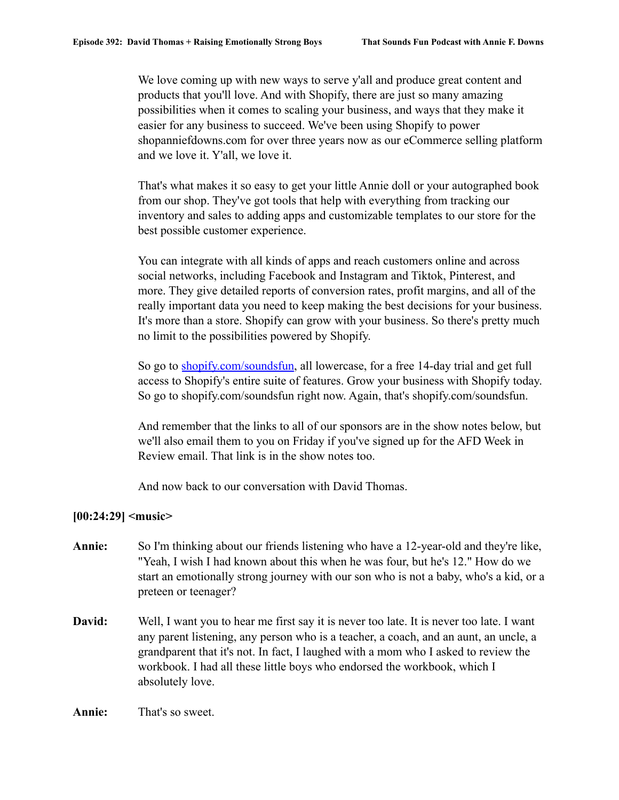We love coming up with new ways to serve y'all and produce great content and products that you'll love. And with Shopify, there are just so many amazing possibilities when it comes to scaling your business, and ways that they make it easier for any business to succeed. We've been using Shopify to power shopanniefdowns.com for over three years now as our eCommerce selling platform and we love it. Y'all, we love it.

That's what makes it so easy to get your little Annie doll or your autographed book from our shop. They've got tools that help with everything from tracking our inventory and sales to adding apps and customizable templates to our store for the best possible customer experience.

You can integrate with all kinds of apps and reach customers online and across social networks, including Facebook and Instagram and Tiktok, Pinterest, and more. They give detailed reports of conversion rates, profit margins, and all of the really important data you need to keep making the best decisions for your business. It's more than a store. Shopify can grow with your business. So there's pretty much no limit to the possibilities powered by Shopify.

So go to [shopify.com/soundsfun](http://www.shopify.com/soundsfun), all lowercase, for a free 14-day trial and get full access to Shopify's entire suite of features. Grow your business with Shopify today. So go to shopify.com/soundsfun right now. Again, that's shopify.com/soundsfun.

And remember that the links to all of our sponsors are in the show notes below, but we'll also email them to you on Friday if you've signed up for the AFD Week in Review email. That link is in the show notes too.

And now back to our conversation with David Thomas.

# **[00:24:29] <music>**

- **Annie:** So I'm thinking about our friends listening who have a 12-year-old and they're like, "Yeah, I wish I had known about this when he was four, but he's 12." How do we start an emotionally strong journey with our son who is not a baby, who's a kid, or a preteen or teenager?
- **David:** Well, I want you to hear me first say it is never too late. It is never too late. I want any parent listening, any person who is a teacher, a coach, and an aunt, an uncle, a grandparent that it's not. In fact, I laughed with a mom who I asked to review the workbook. I had all these little boys who endorsed the workbook, which I absolutely love.

## **Annie:** That's so sweet.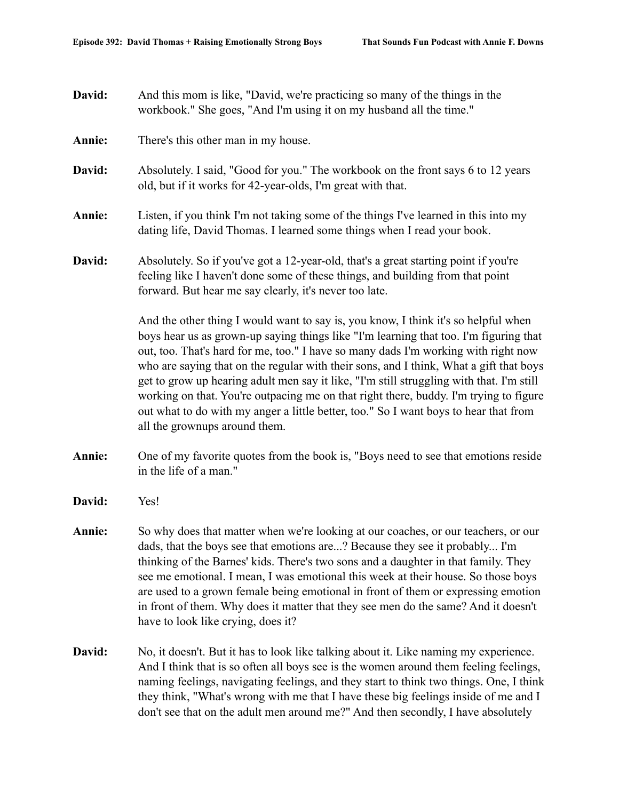- **David:** And this mom is like, "David, we're practicing so many of the things in the workbook." She goes, "And I'm using it on my husband all the time."
- **Annie:** There's this other man in my house.
- **David:** Absolutely. I said, "Good for you." The workbook on the front says 6 to 12 years old, but if it works for 42-year-olds, I'm great with that.
- **Annie:** Listen, if you think I'm not taking some of the things I've learned in this into my dating life, David Thomas. I learned some things when I read your book.
- **David:** Absolutely. So if you've got a 12-year-old, that's a great starting point if you're feeling like I haven't done some of these things, and building from that point forward. But hear me say clearly, it's never too late.

And the other thing I would want to say is, you know, I think it's so helpful when boys hear us as grown-up saying things like "I'm learning that too. I'm figuring that out, too. That's hard for me, too." I have so many dads I'm working with right now who are saying that on the regular with their sons, and I think, What a gift that boys get to grow up hearing adult men say it like, "I'm still struggling with that. I'm still working on that. You're outpacing me on that right there, buddy. I'm trying to figure out what to do with my anger a little better, too." So I want boys to hear that from all the grownups around them.

- **Annie:** One of my favorite quotes from the book is, "Boys need to see that emotions reside in the life of a man."
- **David:** Yes!
- **Annie:** So why does that matter when we're looking at our coaches, or our teachers, or our dads, that the boys see that emotions are...? Because they see it probably... I'm thinking of the Barnes' kids. There's two sons and a daughter in that family. They see me emotional. I mean, I was emotional this week at their house. So those boys are used to a grown female being emotional in front of them or expressing emotion in front of them. Why does it matter that they see men do the same? And it doesn't have to look like crying, does it?
- **David:** No, it doesn't. But it has to look like talking about it. Like naming my experience. And I think that is so often all boys see is the women around them feeling feelings, naming feelings, navigating feelings, and they start to think two things. One, I think they think, "What's wrong with me that I have these big feelings inside of me and I don't see that on the adult men around me?" And then secondly, I have absolutely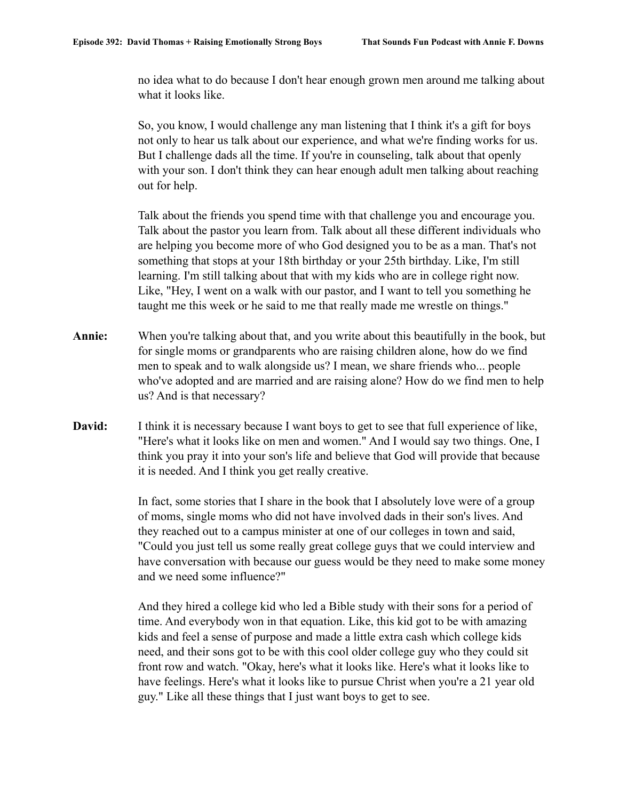no idea what to do because I don't hear enough grown men around me talking about what it looks like.

So, you know, I would challenge any man listening that I think it's a gift for boys not only to hear us talk about our experience, and what we're finding works for us. But I challenge dads all the time. If you're in counseling, talk about that openly with your son. I don't think they can hear enough adult men talking about reaching out for help.

Talk about the friends you spend time with that challenge you and encourage you. Talk about the pastor you learn from. Talk about all these different individuals who are helping you become more of who God designed you to be as a man. That's not something that stops at your 18th birthday or your 25th birthday. Like, I'm still learning. I'm still talking about that with my kids who are in college right now. Like, "Hey, I went on a walk with our pastor, and I want to tell you something he taught me this week or he said to me that really made me wrestle on things."

- **Annie:** When you're talking about that, and you write about this beautifully in the book, but for single moms or grandparents who are raising children alone, how do we find men to speak and to walk alongside us? I mean, we share friends who... people who've adopted and are married and are raising alone? How do we find men to help us? And is that necessary?
- **David:** I think it is necessary because I want boys to get to see that full experience of like, "Here's what it looks like on men and women." And I would say two things. One, I think you pray it into your son's life and believe that God will provide that because it is needed. And I think you get really creative.

In fact, some stories that I share in the book that I absolutely love were of a group of moms, single moms who did not have involved dads in their son's lives. And they reached out to a campus minister at one of our colleges in town and said, "Could you just tell us some really great college guys that we could interview and have conversation with because our guess would be they need to make some money and we need some influence?"

And they hired a college kid who led a Bible study with their sons for a period of time. And everybody won in that equation. Like, this kid got to be with amazing kids and feel a sense of purpose and made a little extra cash which college kids need, and their sons got to be with this cool older college guy who they could sit front row and watch. "Okay, here's what it looks like. Here's what it looks like to have feelings. Here's what it looks like to pursue Christ when you're a 21 year old guy." Like all these things that I just want boys to get to see.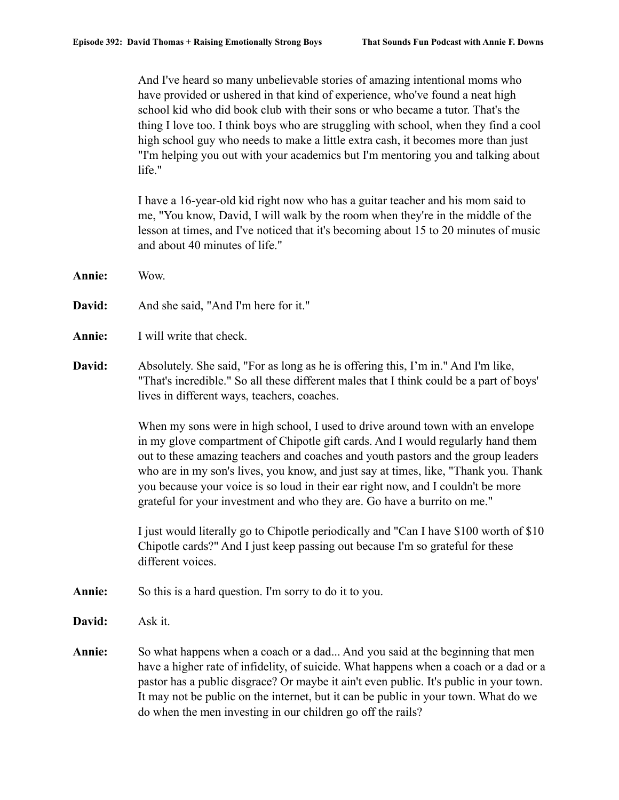And I've heard so many unbelievable stories of amazing intentional moms who have provided or ushered in that kind of experience, who've found a neat high school kid who did book club with their sons or who became a tutor. That's the thing I love too. I think boys who are struggling with school, when they find a cool high school guy who needs to make a little extra cash, it becomes more than just "I'm helping you out with your academics but I'm mentoring you and talking about life."

I have a 16-year-old kid right now who has a guitar teacher and his mom said to me, "You know, David, I will walk by the room when they're in the middle of the lesson at times, and I've noticed that it's becoming about 15 to 20 minutes of music and about 40 minutes of life."

- **Annie:** Wow.
- **David:** And she said, "And I'm here for it."
- **Annie:** I will write that check.
- **David:** Absolutely. She said, "For as long as he is offering this, I'm in." And I'm like, "That's incredible." So all these different males that I think could be a part of boys' lives in different ways, teachers, coaches.

When my sons were in high school, I used to drive around town with an envelope in my glove compartment of Chipotle gift cards. And I would regularly hand them out to these amazing teachers and coaches and youth pastors and the group leaders who are in my son's lives, you know, and just say at times, like, "Thank you. Thank you because your voice is so loud in their ear right now, and I couldn't be more grateful for your investment and who they are. Go have a burrito on me."

I just would literally go to Chipotle periodically and "Can I have \$100 worth of \$10 Chipotle cards?" And I just keep passing out because I'm so grateful for these different voices.

- **Annie:** So this is a hard question. I'm sorry to do it to you.
- **David:** Ask it.
- **Annie:** So what happens when a coach or a dad... And you said at the beginning that men have a higher rate of infidelity, of suicide. What happens when a coach or a dad or a pastor has a public disgrace? Or maybe it ain't even public. It's public in your town. It may not be public on the internet, but it can be public in your town. What do we do when the men investing in our children go off the rails?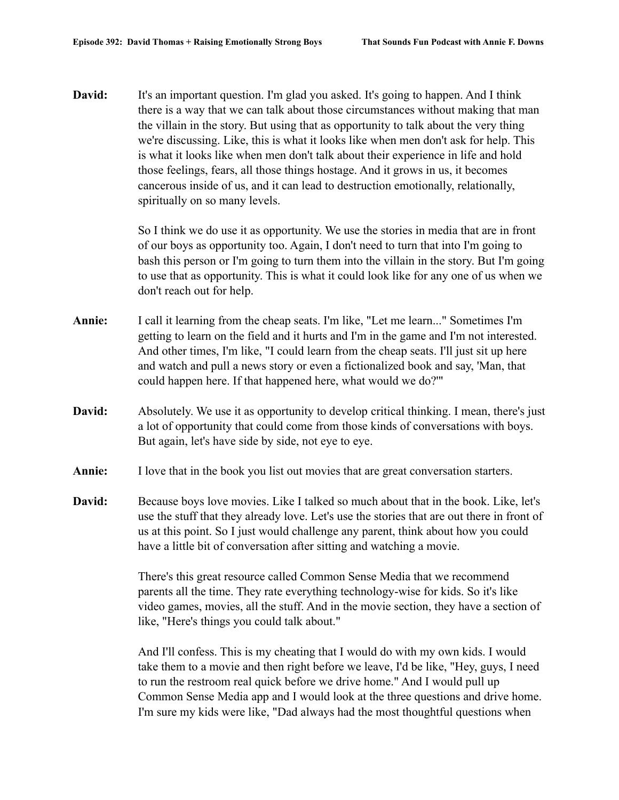**David:** It's an important question. I'm glad you asked. It's going to happen. And I think there is a way that we can talk about those circumstances without making that man the villain in the story. But using that as opportunity to talk about the very thing we're discussing. Like, this is what it looks like when men don't ask for help. This is what it looks like when men don't talk about their experience in life and hold those feelings, fears, all those things hostage. And it grows in us, it becomes cancerous inside of us, and it can lead to destruction emotionally, relationally, spiritually on so many levels.

> So I think we do use it as opportunity. We use the stories in media that are in front of our boys as opportunity too. Again, I don't need to turn that into I'm going to bash this person or I'm going to turn them into the villain in the story. But I'm going to use that as opportunity. This is what it could look like for any one of us when we don't reach out for help.

- **Annie:** I call it learning from the cheap seats. I'm like, "Let me learn..." Sometimes I'm getting to learn on the field and it hurts and I'm in the game and I'm not interested. And other times, I'm like, "I could learn from the cheap seats. I'll just sit up here and watch and pull a news story or even a fictionalized book and say, 'Man, that could happen here. If that happened here, what would we do?'"
- **David:** Absolutely. We use it as opportunity to develop critical thinking. I mean, there's just a lot of opportunity that could come from those kinds of conversations with boys. But again, let's have side by side, not eye to eye.
- **Annie:** I love that in the book you list out movies that are great conversation starters.
- **David:** Because boys love movies. Like I talked so much about that in the book. Like, let's use the stuff that they already love. Let's use the stories that are out there in front of us at this point. So I just would challenge any parent, think about how you could have a little bit of conversation after sitting and watching a movie.

There's this great resource called Common Sense Media that we recommend parents all the time. They rate everything technology-wise for kids. So it's like video games, movies, all the stuff. And in the movie section, they have a section of like, "Here's things you could talk about."

And I'll confess. This is my cheating that I would do with my own kids. I would take them to a movie and then right before we leave, I'd be like, "Hey, guys, I need to run the restroom real quick before we drive home." And I would pull up Common Sense Media app and I would look at the three questions and drive home. I'm sure my kids were like, "Dad always had the most thoughtful questions when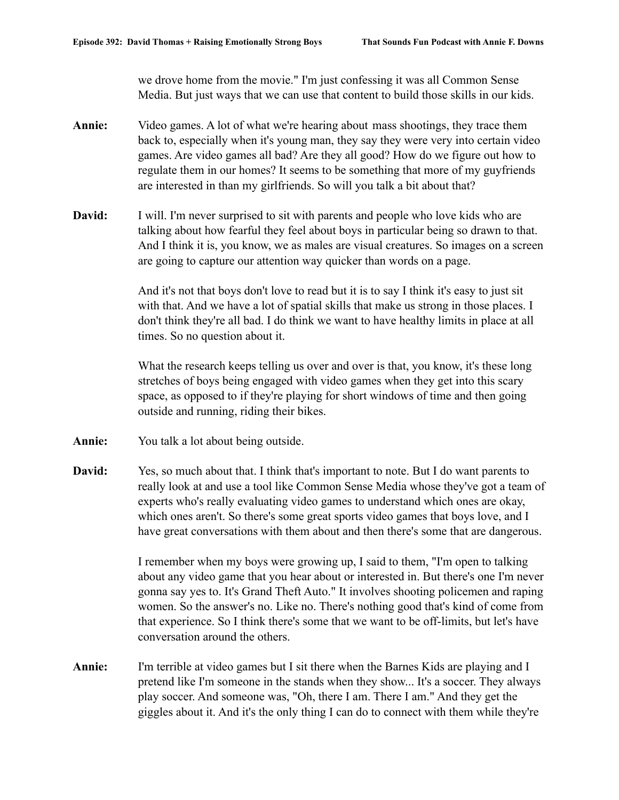we drove home from the movie." I'm just confessing it was all Common Sense Media. But just ways that we can use that content to build those skills in our kids.

- **Annie:** Video games. A lot of what we're hearing about mass shootings, they trace them back to, especially when it's young man, they say they were very into certain video games. Are video games all bad? Are they all good? How do we figure out how to regulate them in our homes? It seems to be something that more of my guyfriends are interested in than my girlfriends. So will you talk a bit about that?
- **David:** I will. I'm never surprised to sit with parents and people who love kids who are talking about how fearful they feel about boys in particular being so drawn to that. And I think it is, you know, we as males are visual creatures. So images on a screen are going to capture our attention way quicker than words on a page.

And it's not that boys don't love to read but it is to say I think it's easy to just sit with that. And we have a lot of spatial skills that make us strong in those places. I don't think they're all bad. I do think we want to have healthy limits in place at all times. So no question about it.

What the research keeps telling us over and over is that, you know, it's these long stretches of boys being engaged with video games when they get into this scary space, as opposed to if they're playing for short windows of time and then going outside and running, riding their bikes.

- **Annie:** You talk a lot about being outside.
- **David:** Yes, so much about that. I think that's important to note. But I do want parents to really look at and use a tool like Common Sense Media whose they've got a team of experts who's really evaluating video games to understand which ones are okay, which ones aren't. So there's some great sports video games that boys love, and I have great conversations with them about and then there's some that are dangerous.

I remember when my boys were growing up, I said to them, "I'm open to talking about any video game that you hear about or interested in. But there's one I'm never gonna say yes to. It's Grand Theft Auto." It involves shooting policemen and raping women. So the answer's no. Like no. There's nothing good that's kind of come from that experience. So I think there's some that we want to be off-limits, but let's have conversation around the others.

**Annie:** I'm terrible at video games but I sit there when the Barnes Kids are playing and I pretend like I'm someone in the stands when they show... It's a soccer. They always play soccer. And someone was, "Oh, there I am. There I am." And they get the giggles about it. And it's the only thing I can do to connect with them while they're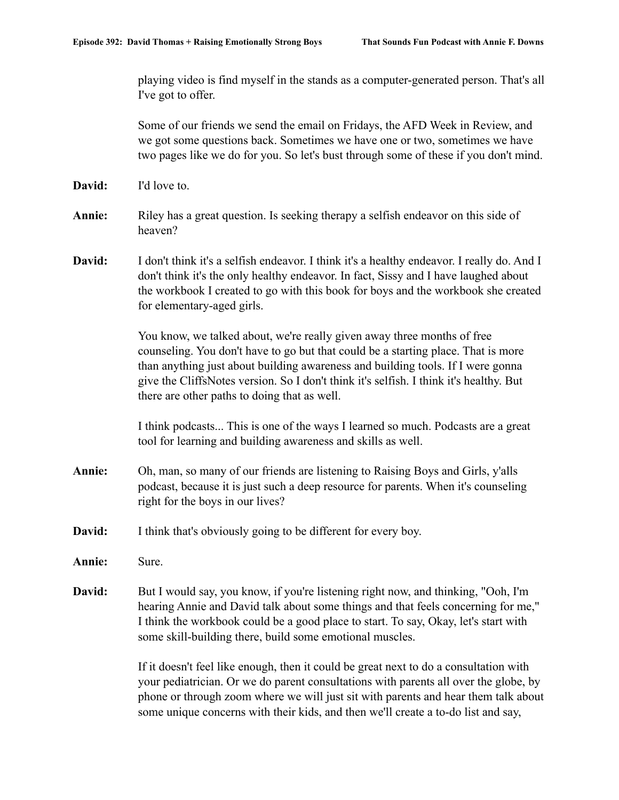playing video is find myself in the stands as a computer-generated person. That's all I've got to offer.

Some of our friends we send the email on Fridays, the AFD Week in Review, and we got some questions back. Sometimes we have one or two, sometimes we have two pages like we do for you. So let's bust through some of these if you don't mind.

- **David:** I'd love to.
- Annie: Riley has a great question. Is seeking therapy a selfish endeavor on this side of heaven?
- **David:** I don't think it's a selfish endeavor. I think it's a healthy endeavor. I really do. And I don't think it's the only healthy endeavor. In fact, Sissy and I have laughed about the workbook I created to go with this book for boys and the workbook she created for elementary-aged girls.

You know, we talked about, we're really given away three months of free counseling. You don't have to go but that could be a starting place. That is more than anything just about building awareness and building tools. If I were gonna give the CliffsNotes version. So I don't think it's selfish. I think it's healthy. But there are other paths to doing that as well.

I think podcasts... This is one of the ways I learned so much. Podcasts are a great tool for learning and building awareness and skills as well.

- **Annie:** Oh, man, so many of our friends are listening to Raising Boys and Girls, y'alls podcast, because it is just such a deep resource for parents. When it's counseling right for the boys in our lives?
- **David:** I think that's obviously going to be different for every boy.
- **Annie:** Sure.
- **David:** But I would say, you know, if you're listening right now, and thinking, "Ooh, I'm hearing Annie and David talk about some things and that feels concerning for me," I think the workbook could be a good place to start. To say, Okay, let's start with some skill-building there, build some emotional muscles.

If it doesn't feel like enough, then it could be great next to do a consultation with your pediatrician. Or we do parent consultations with parents all over the globe, by phone or through zoom where we will just sit with parents and hear them talk about some unique concerns with their kids, and then we'll create a to-do list and say,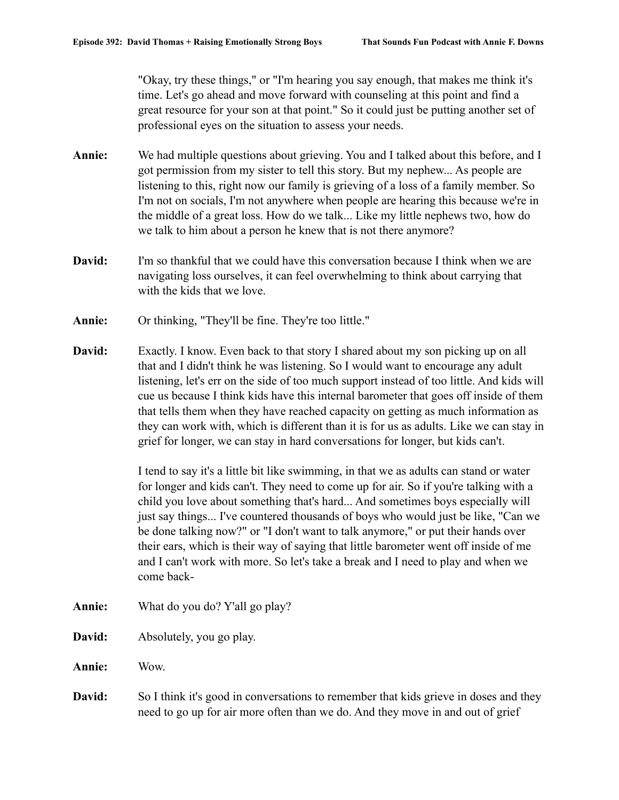"Okay, try these things," or "I'm hearing you say enough, that makes me think it's time. Let's go ahead and move forward with counseling at this point and find a great resource for your son at that point." So it could just be putting another set of professional eyes on the situation to assess your needs.

- **Annie:** We had multiple questions about grieving. You and I talked about this before, and I got permission from my sister to tell this story. But my nephew... As people are listening to this, right now our family is grieving of a loss of a family member. So I'm not on socials, I'm not anywhere when people are hearing this because we're in the middle of a great loss. How do we talk... Like my little nephews two, how do we talk to him about a person he knew that is not there anymore?
- **David:** I'm so thankful that we could have this conversation because I think when we are navigating loss ourselves, it can feel overwhelming to think about carrying that with the kids that we love.
- **Annie:** Or thinking, "They'll be fine. They're too little."
- **David:** Exactly. I know. Even back to that story I shared about my son picking up on all that and I didn't think he was listening. So I would want to encourage any adult listening, let's err on the side of too much support instead of too little. And kids will cue us because I think kids have this internal barometer that goes off inside of them that tells them when they have reached capacity on getting as much information as they can work with, which is different than it is for us as adults. Like we can stay in grief for longer, we can stay in hard conversations for longer, but kids can't.

I tend to say it's a little bit like swimming, in that we as adults can stand or water for longer and kids can't. They need to come up for air. So if you're talking with a child you love about something that's hard... And sometimes boys especially will just say things... I've countered thousands of boys who would just be like, "Can we be done talking now?" or "I don't want to talk anymore," or put their hands over their ears, which is their way of saying that little barometer went off inside of me and I can't work with more. So let's take a break and I need to play and when we come back-

- **Annie:** What do you do? Y'all go play?
- **David:** Absolutely, you go play.
- **Annie:** Wow.
- **David:** So I think it's good in conversations to remember that kids grieve in doses and they need to go up for air more often than we do. And they move in and out of grief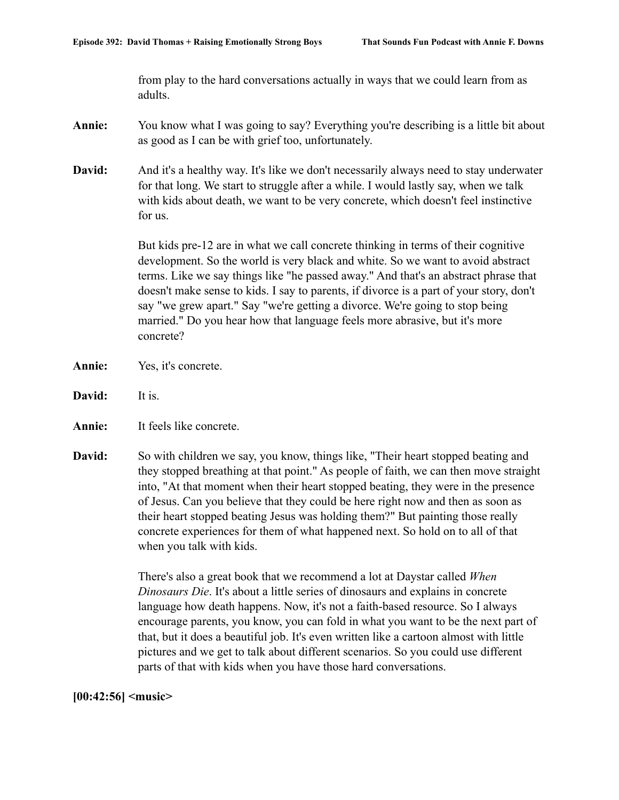from play to the hard conversations actually in ways that we could learn from as adults.

- **Annie:** You know what I was going to say? Everything you're describing is a little bit about as good as I can be with grief too, unfortunately.
- **David:** And it's a healthy way. It's like we don't necessarily always need to stay underwater for that long. We start to struggle after a while. I would lastly say, when we talk with kids about death, we want to be very concrete, which doesn't feel instinctive for us.

But kids pre-12 are in what we call concrete thinking in terms of their cognitive development. So the world is very black and white. So we want to avoid abstract terms. Like we say things like "he passed away." And that's an abstract phrase that doesn't make sense to kids. I say to parents, if divorce is a part of your story, don't say "we grew apart." Say "we're getting a divorce. We're going to stop being married." Do you hear how that language feels more abrasive, but it's more concrete?

- **Annie:** Yes, it's concrete.
- **David:** It is.
- **Annie:** It feels like concrete.
- **David:** So with children we say, you know, things like, "Their heart stopped beating and they stopped breathing at that point." As people of faith, we can then move straight into, "At that moment when their heart stopped beating, they were in the presence of Jesus. Can you believe that they could be here right now and then as soon as their heart stopped beating Jesus was holding them?" But painting those really concrete experiences for them of what happened next. So hold on to all of that when you talk with kids.

There's also a great book that we recommend a lot at Daystar called *When Dinosaurs Die*. It's about a little series of dinosaurs and explains in concrete language how death happens. Now, it's not a faith-based resource. So I always encourage parents, you know, you can fold in what you want to be the next part of that, but it does a beautiful job. It's even written like a cartoon almost with little pictures and we get to talk about different scenarios. So you could use different parts of that with kids when you have those hard conversations.

## **[00:42:56] <music>**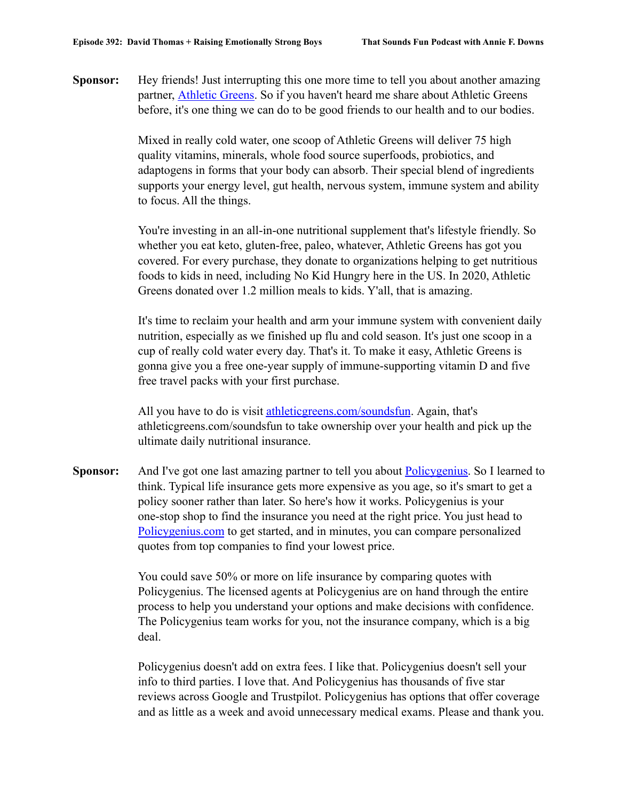**Sponsor:** Hey friends! Just interrupting this one more time to tell you about another amazing partner, [Athletic Greens.](http://www.athleticgreens.com/soundsfun) So if you haven't heard me share about Athletic Greens before, it's one thing we can do to be good friends to our health and to our bodies.

> Mixed in really cold water, one scoop of Athletic Greens will deliver 75 high quality vitamins, minerals, whole food source superfoods, probiotics, and adaptogens in forms that your body can absorb. Their special blend of ingredients supports your energy level, gut health, nervous system, immune system and ability to focus. All the things.

> You're investing in an all-in-one nutritional supplement that's lifestyle friendly. So whether you eat keto, gluten-free, paleo, whatever, Athletic Greens has got you covered. For every purchase, they donate to organizations helping to get nutritious foods to kids in need, including No Kid Hungry here in the US. In 2020, Athletic Greens donated over 1.2 million meals to kids. Y'all, that is amazing.

It's time to reclaim your health and arm your immune system with convenient daily nutrition, especially as we finished up flu and cold season. It's just one scoop in a cup of really cold water every day. That's it. To make it easy, Athletic Greens is gonna give you a free one-year supply of immune-supporting vitamin D and five free travel packs with your first purchase.

All you have to do is visit [athleticgreens.com/soundsfun](http://www.athleticgreens.com/soundsfun). Again, that's athleticgreens.com/soundsfun to take ownership over your health and pick up the ultimate daily nutritional insurance.

**Sponsor:** And I've got one last amazing partner to tell you about **Policygenius**. So I learned to think. Typical life insurance gets more expensive as you age, so it's smart to get a policy sooner rather than later. So here's how it works. Policygenius is your one-stop shop to find the insurance you need at the right price. You just head to [Policygenius.com](http://www.policygenius.com) to get started, and in minutes, you can compare personalized quotes from top companies to find your lowest price.

> You could save 50% or more on life insurance by comparing quotes with Policygenius. The licensed agents at Policygenius are on hand through the entire process to help you understand your options and make decisions with confidence. The Policygenius team works for you, not the insurance company, which is a big deal.

Policygenius doesn't add on extra fees. I like that. Policygenius doesn't sell your info to third parties. I love that. And Policygenius has thousands of five star reviews across Google and Trustpilot. Policygenius has options that offer coverage and as little as a week and avoid unnecessary medical exams. Please and thank you.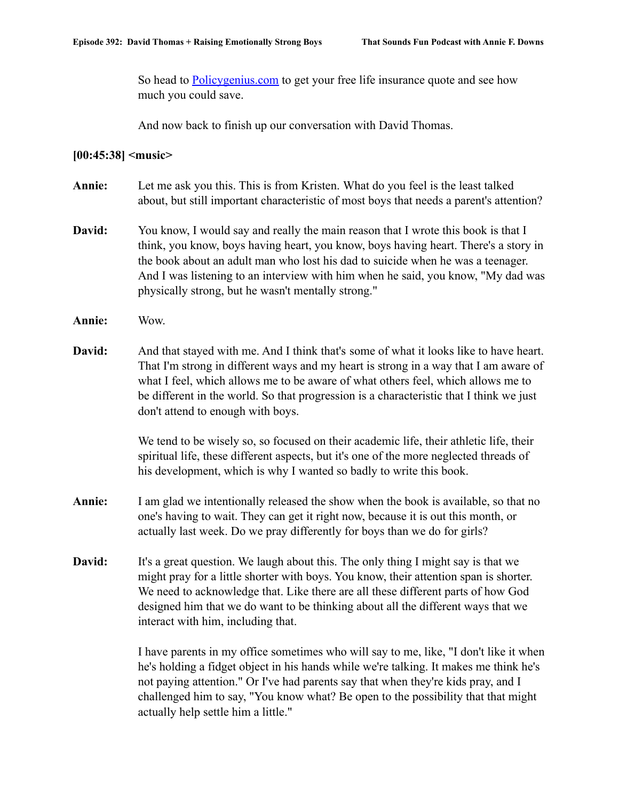So head to [Policygenius.com](http://www.policygenius.com) to get your free life insurance quote and see how much you could save.

And now back to finish up our conversation with David Thomas.

## **[00:45:38] <music>**

- **Annie:** Let me ask you this. This is from Kristen. What do you feel is the least talked about, but still important characteristic of most boys that needs a parent's attention?
- **David:** You know, I would say and really the main reason that I wrote this book is that I think, you know, boys having heart, you know, boys having heart. There's a story in the book about an adult man who lost his dad to suicide when he was a teenager. And I was listening to an interview with him when he said, you know, "My dad was physically strong, but he wasn't mentally strong."
- **Annie:** Wow.
- **David:** And that stayed with me. And I think that's some of what it looks like to have heart. That I'm strong in different ways and my heart is strong in a way that I am aware of what I feel, which allows me to be aware of what others feel, which allows me to be different in the world. So that progression is a characteristic that I think we just don't attend to enough with boys.

We tend to be wisely so, so focused on their academic life, their athletic life, their spiritual life, these different aspects, but it's one of the more neglected threads of his development, which is why I wanted so badly to write this book.

- **Annie:** I am glad we intentionally released the show when the book is available, so that no one's having to wait. They can get it right now, because it is out this month, or actually last week. Do we pray differently for boys than we do for girls?
- **David:** It's a great question. We laugh about this. The only thing I might say is that we might pray for a little shorter with boys. You know, their attention span is shorter. We need to acknowledge that. Like there are all these different parts of how God designed him that we do want to be thinking about all the different ways that we interact with him, including that.

I have parents in my office sometimes who will say to me, like, "I don't like it when he's holding a fidget object in his hands while we're talking. It makes me think he's not paying attention." Or I've had parents say that when they're kids pray, and I challenged him to say, "You know what? Be open to the possibility that that might actually help settle him a little."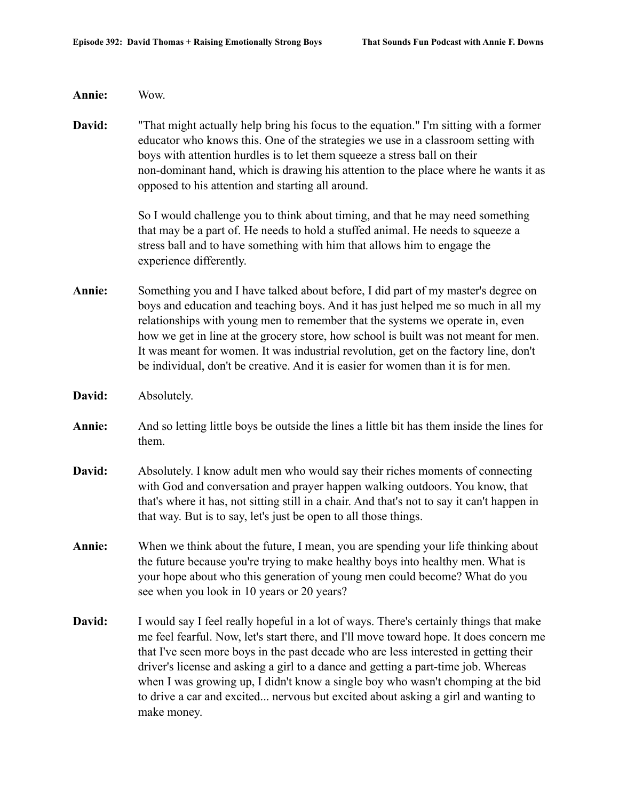**Annie:** Wow.

**David:** "That might actually help bring his focus to the equation." I'm sitting with a former educator who knows this. One of the strategies we use in a classroom setting with boys with attention hurdles is to let them squeeze a stress ball on their non-dominant hand, which is drawing his attention to the place where he wants it as opposed to his attention and starting all around.

> So I would challenge you to think about timing, and that he may need something that may be a part of. He needs to hold a stuffed animal. He needs to squeeze a stress ball and to have something with him that allows him to engage the experience differently.

- **Annie:** Something you and I have talked about before, I did part of my master's degree on boys and education and teaching boys. And it has just helped me so much in all my relationships with young men to remember that the systems we operate in, even how we get in line at the grocery store, how school is built was not meant for men. It was meant for women. It was industrial revolution, get on the factory line, don't be individual, don't be creative. And it is easier for women than it is for men.
- **David:** Absolutely.
- **Annie:** And so letting little boys be outside the lines a little bit has them inside the lines for them.
- **David:** Absolutely. I know adult men who would say their riches moments of connecting with God and conversation and prayer happen walking outdoors. You know, that that's where it has, not sitting still in a chair. And that's not to say it can't happen in that way. But is to say, let's just be open to all those things.
- **Annie:** When we think about the future, I mean, you are spending your life thinking about the future because you're trying to make healthy boys into healthy men. What is your hope about who this generation of young men could become? What do you see when you look in 10 years or 20 years?
- **David:** I would say I feel really hopeful in a lot of ways. There's certainly things that make me feel fearful. Now, let's start there, and I'll move toward hope. It does concern me that I've seen more boys in the past decade who are less interested in getting their driver's license and asking a girl to a dance and getting a part-time job. Whereas when I was growing up, I didn't know a single boy who wasn't chomping at the bid to drive a car and excited... nervous but excited about asking a girl and wanting to make money.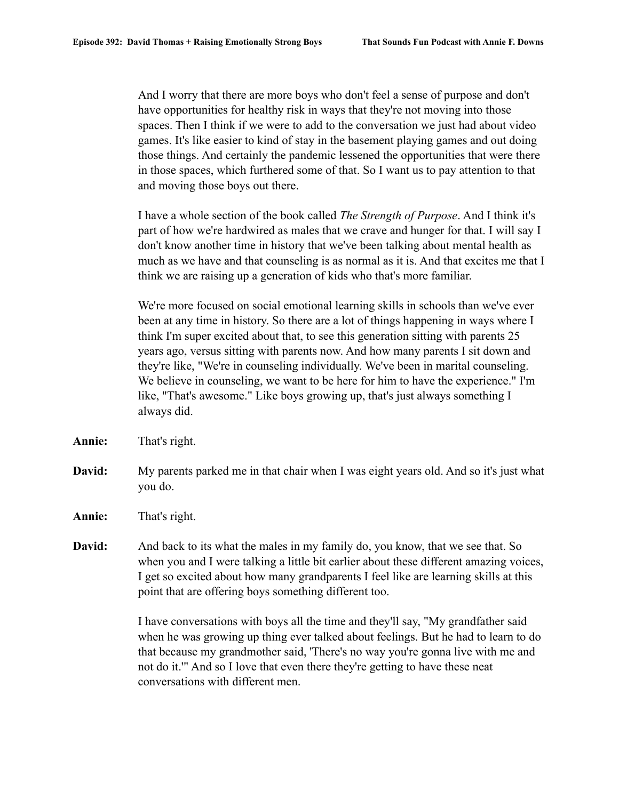And I worry that there are more boys who don't feel a sense of purpose and don't have opportunities for healthy risk in ways that they're not moving into those spaces. Then I think if we were to add to the conversation we just had about video games. It's like easier to kind of stay in the basement playing games and out doing those things. And certainly the pandemic lessened the opportunities that were there in those spaces, which furthered some of that. So I want us to pay attention to that and moving those boys out there.

I have a whole section of the book called *The Strength of Purpose*. And I think it's part of how we're hardwired as males that we crave and hunger for that. I will say I don't know another time in history that we've been talking about mental health as much as we have and that counseling is as normal as it is. And that excites me that I think we are raising up a generation of kids who that's more familiar.

We're more focused on social emotional learning skills in schools than we've ever been at any time in history. So there are a lot of things happening in ways where I think I'm super excited about that, to see this generation sitting with parents 25 years ago, versus sitting with parents now. And how many parents I sit down and they're like, "We're in counseling individually. We've been in marital counseling. We believe in counseling, we want to be here for him to have the experience." I'm like, "That's awesome." Like boys growing up, that's just always something I always did.

- **Annie:** That's right.
- **David:** My parents parked me in that chair when I was eight years old. And so it's just what you do.
- **Annie:** That's right.
- **David:** And back to its what the males in my family do, you know, that we see that. So when you and I were talking a little bit earlier about these different amazing voices, I get so excited about how many grandparents I feel like are learning skills at this point that are offering boys something different too.

I have conversations with boys all the time and they'll say, "My grandfather said when he was growing up thing ever talked about feelings. But he had to learn to do that because my grandmother said, 'There's no way you're gonna live with me and not do it.'" And so I love that even there they're getting to have these neat conversations with different men.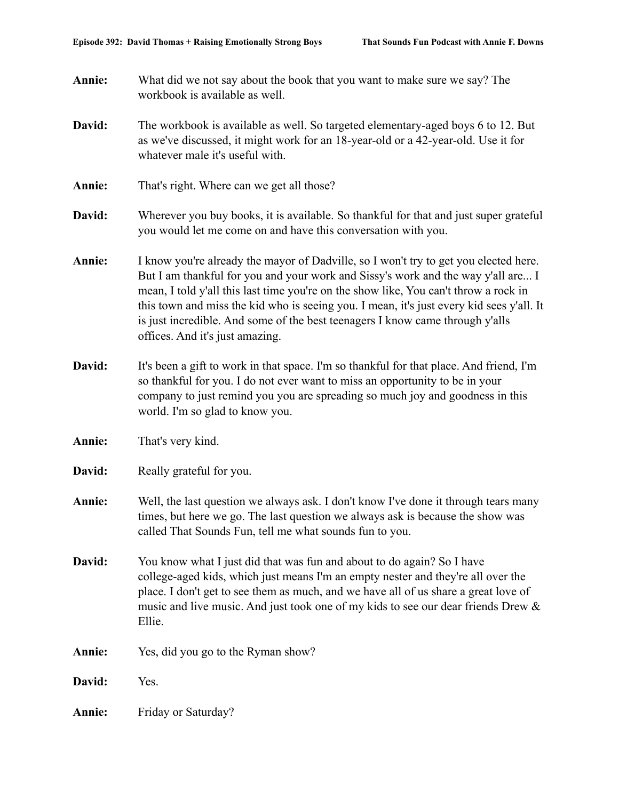| Annie: | What did we not say about the book that you want to make sure we say? The<br>workbook is available as well.                                                                                                                                                                                                                                                                                                                                                                      |
|--------|----------------------------------------------------------------------------------------------------------------------------------------------------------------------------------------------------------------------------------------------------------------------------------------------------------------------------------------------------------------------------------------------------------------------------------------------------------------------------------|
| David: | The workbook is available as well. So targeted elementary-aged boys 6 to 12. But<br>as we've discussed, it might work for an 18-year-old or a 42-year-old. Use it for<br>whatever male it's useful with.                                                                                                                                                                                                                                                                         |
| Annie: | That's right. Where can we get all those?                                                                                                                                                                                                                                                                                                                                                                                                                                        |
| David: | Wherever you buy books, it is available. So thankful for that and just super grateful<br>you would let me come on and have this conversation with you.                                                                                                                                                                                                                                                                                                                           |
| Annie: | I know you're already the mayor of Dadville, so I won't try to get you elected here.<br>But I am thankful for you and your work and Sissy's work and the way y'all are I<br>mean, I told y'all this last time you're on the show like, You can't throw a rock in<br>this town and miss the kid who is seeing you. I mean, it's just every kid sees y'all. It<br>is just incredible. And some of the best teenagers I know came through y'alls<br>offices. And it's just amazing. |
| David: | It's been a gift to work in that space. I'm so thankful for that place. And friend, I'm<br>so thankful for you. I do not ever want to miss an opportunity to be in your<br>company to just remind you you are spreading so much joy and goodness in this<br>world. I'm so glad to know you.                                                                                                                                                                                      |
| Annie: | That's very kind.                                                                                                                                                                                                                                                                                                                                                                                                                                                                |
| David: | Really grateful for you.                                                                                                                                                                                                                                                                                                                                                                                                                                                         |
| Annie: | Well, the last question we always ask. I don't know I've done it through tears many<br>times, but here we go. The last question we always ask is because the show was<br>called That Sounds Fun, tell me what sounds fun to you.                                                                                                                                                                                                                                                 |
| David: | You know what I just did that was fun and about to do again? So I have<br>college-aged kids, which just means I'm an empty nester and they're all over the                                                                                                                                                                                                                                                                                                                       |

- place. I don't get to see them as much, and we have all of us share a great love of music and live music. And just took one of my kids to see our dear friends Drew & Ellie.
- **Annie:** Yes, did you go to the Ryman show?
- **David:** Yes.
- Annie: Friday or Saturday?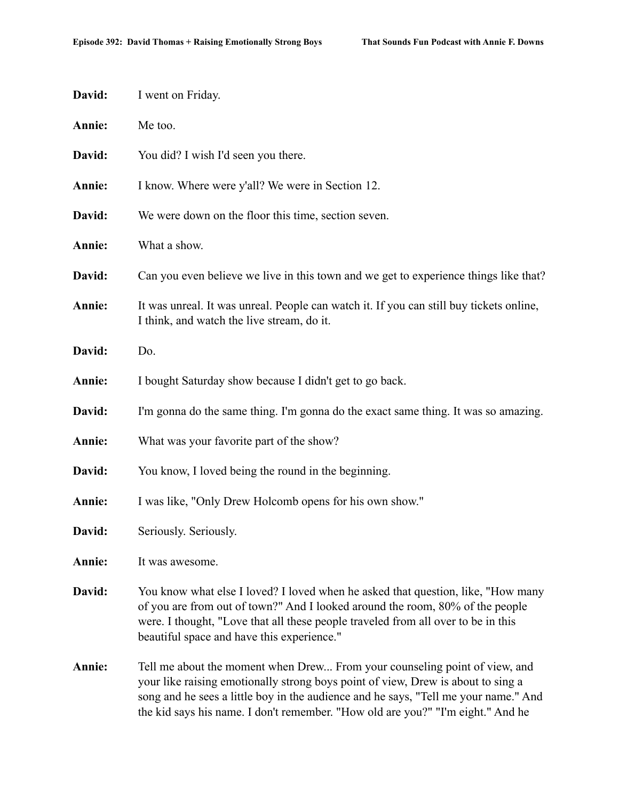| David: | I went on Friday.                                                                                                                                                                                                                                                                                                                        |
|--------|------------------------------------------------------------------------------------------------------------------------------------------------------------------------------------------------------------------------------------------------------------------------------------------------------------------------------------------|
| Annie: | Me too.                                                                                                                                                                                                                                                                                                                                  |
| David: | You did? I wish I'd seen you there.                                                                                                                                                                                                                                                                                                      |
| Annie: | I know. Where were y'all? We were in Section 12.                                                                                                                                                                                                                                                                                         |
| David: | We were down on the floor this time, section seven.                                                                                                                                                                                                                                                                                      |
| Annie: | What a show.                                                                                                                                                                                                                                                                                                                             |
| David: | Can you even believe we live in this town and we get to experience things like that?                                                                                                                                                                                                                                                     |
| Annie: | It was unreal. It was unreal. People can watch it. If you can still buy tickets online,<br>I think, and watch the live stream, do it.                                                                                                                                                                                                    |
| David: | Do.                                                                                                                                                                                                                                                                                                                                      |
| Annie: | I bought Saturday show because I didn't get to go back.                                                                                                                                                                                                                                                                                  |
| David: | I'm gonna do the same thing. I'm gonna do the exact same thing. It was so amazing.                                                                                                                                                                                                                                                       |
| Annie: | What was your favorite part of the show?                                                                                                                                                                                                                                                                                                 |
| David: | You know, I loved being the round in the beginning.                                                                                                                                                                                                                                                                                      |
| Annie: | I was like, "Only Drew Holcomb opens for his own show."                                                                                                                                                                                                                                                                                  |
| David: | Seriously. Seriously.                                                                                                                                                                                                                                                                                                                    |
| Annie: | It was awesome.                                                                                                                                                                                                                                                                                                                          |
| David: | You know what else I loved? I loved when he asked that question, like, "How many<br>of you are from out of town?" And I looked around the room, 80% of the people<br>were. I thought, "Love that all these people traveled from all over to be in this<br>beautiful space and have this experience."                                     |
| Annie: | Tell me about the moment when Drew From your counseling point of view, and<br>your like raising emotionally strong boys point of view, Drew is about to sing a<br>song and he sees a little boy in the audience and he says, "Tell me your name." And<br>the kid says his name. I don't remember. "How old are you?" "I'm eight." And he |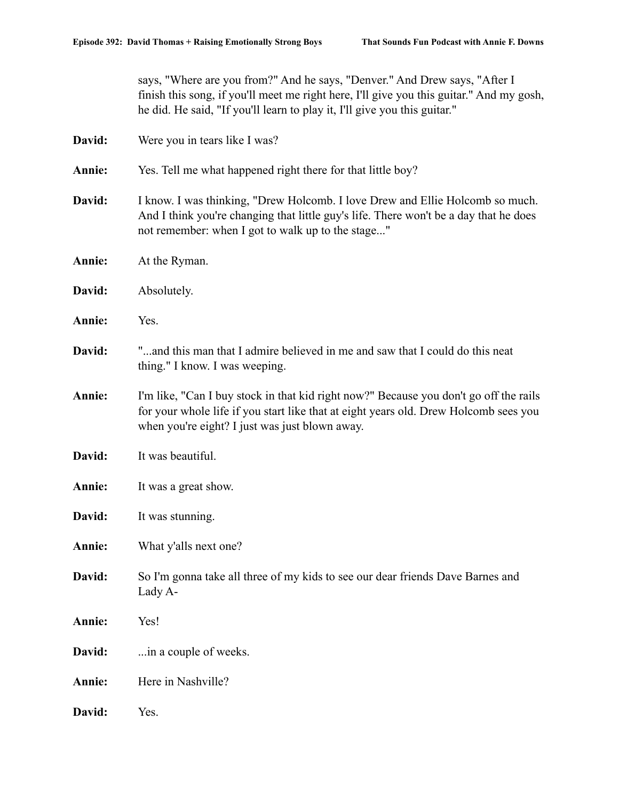says, "Where are you from?" And he says, "Denver." And Drew says, "After I finish this song, if you'll meet me right here, I'll give you this guitar." And my gosh, he did. He said, "If you'll learn to play it, I'll give you this guitar."

| David: | Were you in tears like I was?                                                                                                                                                                                                   |
|--------|---------------------------------------------------------------------------------------------------------------------------------------------------------------------------------------------------------------------------------|
| Annie: | Yes. Tell me what happened right there for that little boy?                                                                                                                                                                     |
| David: | I know. I was thinking, "Drew Holcomb. I love Drew and Ellie Holcomb so much.<br>And I think you're changing that little guy's life. There won't be a day that he does<br>not remember: when I got to walk up to the stage"     |
| Annie: | At the Ryman.                                                                                                                                                                                                                   |
| David: | Absolutely.                                                                                                                                                                                                                     |
| Annie: | Yes.                                                                                                                                                                                                                            |
| David: | "and this man that I admire believed in me and saw that I could do this neat<br>thing." I know. I was weeping.                                                                                                                  |
| Annie: | I'm like, "Can I buy stock in that kid right now?" Because you don't go off the rails<br>for your whole life if you start like that at eight years old. Drew Holcomb sees you<br>when you're eight? I just was just blown away. |
| David: | It was beautiful.                                                                                                                                                                                                               |
| Annie: | It was a great show.                                                                                                                                                                                                            |
| David: | It was stunning.                                                                                                                                                                                                                |
| Annie: | What y'alls next one?                                                                                                                                                                                                           |
| David: | So I'm gonna take all three of my kids to see our dear friends Dave Barnes and<br>Lady A-                                                                                                                                       |
| Annie: | Yes!                                                                                                                                                                                                                            |
| David: | in a couple of weeks.                                                                                                                                                                                                           |
| Annie: | Here in Nashville?                                                                                                                                                                                                              |
| David: | Yes.                                                                                                                                                                                                                            |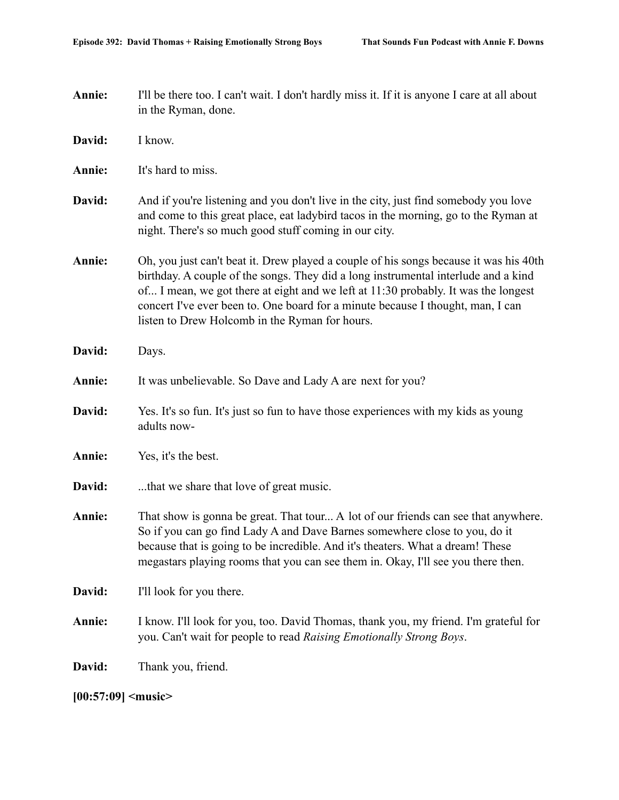- **Annie:** I'll be there too. I can't wait. I don't hardly miss it. If it is anyone I care at all about in the Ryman, done.
- **David:** I know.
- **Annie:** It's hard to miss.
- **David:** And if you're listening and you don't live in the city, just find somebody you love and come to this great place, eat ladybird tacos in the morning, go to the Ryman at night. There's so much good stuff coming in our city.
- **Annie:** Oh, you just can't beat it. Drew played a couple of his songs because it was his 40th birthday. A couple of the songs. They did a long instrumental interlude and a kind of... I mean, we got there at eight and we left at 11:30 probably. It was the longest concert I've ever been to. One board for a minute because I thought, man, I can listen to Drew Holcomb in the Ryman for hours.
- **David:** Days.
- **Annie:** It was unbelievable. So Dave and Lady A are next for you?
- **David:** Yes. It's so fun. It's just so fun to have those experiences with my kids as young adults now-
- **Annie:** Yes, it's the best.
- **David:** ...that we share that love of great music.
- **Annie:** That show is gonna be great. That tour... A lot of our friends can see that anywhere. So if you can go find Lady A and Dave Barnes somewhere close to you, do it because that is going to be incredible. And it's theaters. What a dream! These megastars playing rooms that you can see them in. Okay, I'll see you there then.
- **David:** I'll look for you there.
- **Annie:** I know. I'll look for you, too. David Thomas, thank you, my friend. I'm grateful for you. Can't wait for people to read *Raising Emotionally Strong Boys*.

**David:** Thank you, friend.

## **[00:57:09] <music>**